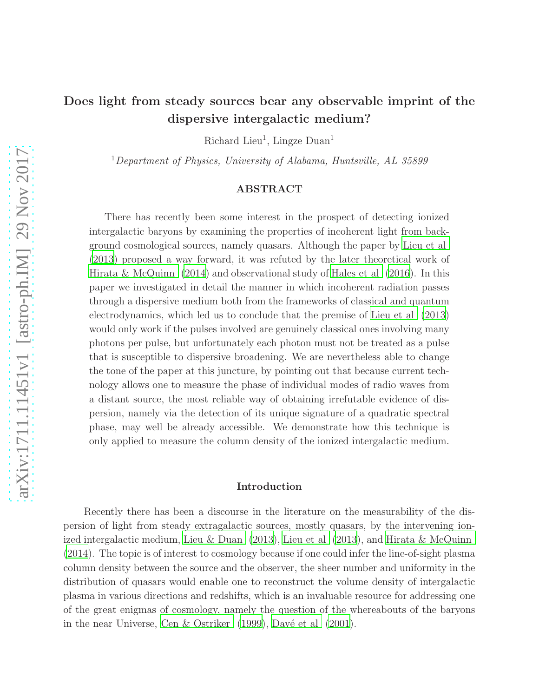# Does light from steady sources bear any observable imprint of the dispersive intergalactic medium?

Richard Lieu<sup>1</sup>, Lingze Duan<sup>1</sup>

<sup>1</sup>Department of Physics, University of Alabama, Huntsville, AL  $35899$ 

# ABSTRACT

There has recently been some interest in the prospect of detecting ionized intergalactic baryons by examining the properties of incoherent light from background cosmological sources, namely quasars. Although the paper by [Lieu et al](#page-20-0) [\(2013](#page-20-0)) proposed a way forward, it was refuted by the later theoretical work of [Hirata & McQuinn \(2014\)](#page-20-1) and observational study of [Hales et al \(2016\)](#page-20-2). In this paper we investigated in detail the manner in which incoherent radiation passes through a dispersive medium both from the frameworks of classical and quantum electrodynamics, which led us to conclude that the premise of [Lieu et](#page-20-0) al [\(2013](#page-20-0)) would only work if the pulses involved are genuinely classical ones involving many photons per pulse, but unfortunately each photon must not be treated as a pulse that is susceptible to dispersive broadening. We are nevertheless able to change the tone of the paper at this juncture, by pointing out that because current technology allows one to measure the phase of individual modes of radio waves from a distant source, the most reliable way of obtaining irrefutable evidence of dispersion, namely via the detection of its unique signature of a quadratic spectral phase, may well be already accessible. We demonstrate how this technique is only applied to measure the column density of the ionized intergalactic medium.

## Introduction

Recently there has been a discourse in the literature on the measurability of the dispersion of light from steady extragalactic sources, mostly quasars, by the intervening ion-ized intergalactic medium, [Lieu & Duan \(2013\)](#page-20-3), [Lieu et al \(2013\)](#page-20-0), and [Hirata & McQuinn](#page-20-1) [\(2014\)](#page-20-1). The topic is of interest to cosmology because if one could infer the line-of-sight plasma column density between the source and the observer, the sheer number and uniformity in the distribution of quasars would enable one to reconstruct the volume density of intergalactic plasma in various directions and redshifts, which is an invaluable resource for addressing one of the great enigmas of cosmology, namely the question of the whereabouts of the baryons in the near Universe, Cen & Ostriker  $(1999)$ , Davé et al  $(2001)$ .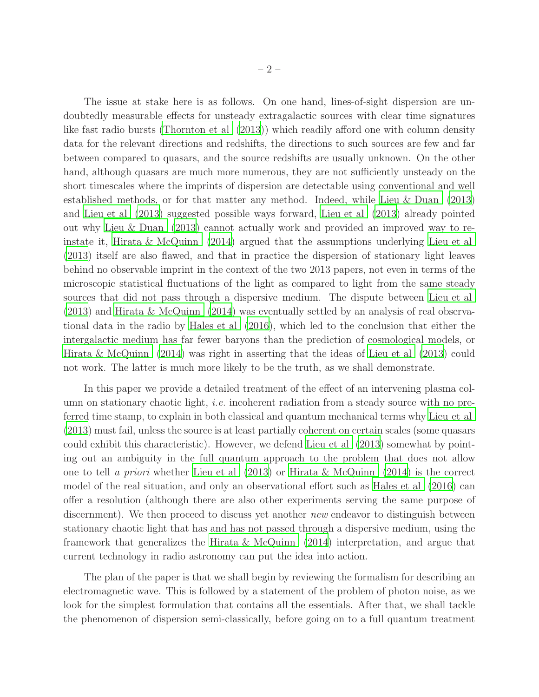The issue at stake here is as follows. On one hand, lines-of-sight dispersion are undoubtedly measurable effects for unsteady extragalactic sources with clear time signatures like fast radio bursts [\(Thornton et al \(2013](#page-20-4))) which readily afford one with column density data for the relevant directions and redshifts, the directions to such sources are few and far between compared to quasars, and the source redshifts are usually unknown. On the other hand, although quasars are much more numerous, they are not sufficiently unsteady on the short timescales where the imprints of dispersion are detectable using conventional and well established methods, or for that matter any method. Indeed, while [Lieu & Duan \(2013\)](#page-20-3) and [Lieu et al \(2013\)](#page-20-0) suggested possible ways forward, [Lieu et al \(2013](#page-20-0)) already pointed out why [Lieu & Duan \(2013\)](#page-20-3) cannot actually work and provided an improved way to reinstate it, [Hirata & McQuinn \(2014\)](#page-20-1) argued that the assumptions underlying [Lieu et al](#page-20-0) [\(2013\)](#page-20-0) itself are also flawed, and that in practice the dispersion of stationary light leaves behind no observable imprint in the context of the two 2013 papers, not even in terms of the microscopic statistical fluctuations of the light as compared to light from the same steady sources that did not pass through a dispersive medium. The dispute between [Lieu et al](#page-20-0) [\(2013\)](#page-20-0) and [Hirata & McQuinn \(2014\)](#page-20-1) was eventually settled by an analysis of real observational data in the radio by [Hales et al \(2016\)](#page-20-2), which led to the conclusion that either the intergalactic medium has far fewer baryons than the prediction of cosmological models, or [Hirata & McQuinn \(2014\)](#page-20-1) was right in asserting that the ideas of [Lieu et al \(2013\)](#page-20-0) could not work. The latter is much more likely to be the truth, as we shall demonstrate.

In this paper we provide a detailed treatment of the effect of an intervening plasma column on stationary chaotic light, i.e. incoherent radiation from a steady source with no preferred time stamp, to explain in both classical and quantum mechanical terms why [Lieu et al](#page-20-0) [\(2013\)](#page-20-0) must fail, unless the source is at least partially coherent on certain scales (some quasars could exhibit this characteristic). However, we defend [Lieu et al \(2013\)](#page-20-0) somewhat by pointing out an ambiguity in the full quantum approach to the problem that does not allow one to tell a priori whether Lieu et al  $(2013)$  or Hirata & McQuinn  $(2014)$  is the correct model of the real situation, and only an observational effort such as [Hales et al \(2016\)](#page-20-2) can offer a resolution (although there are also other experiments serving the same purpose of discernment). We then proceed to discuss yet another *new* endeavor to distinguish between stationary chaotic light that has and has not passed through a dispersive medium, using the framework that generalizes the [Hirata & McQuinn \(2014\)](#page-20-1) interpretation, and argue that current technology in radio astronomy can put the idea into action.

The plan of the paper is that we shall begin by reviewing the formalism for describing an electromagnetic wave. This is followed by a statement of the problem of photon noise, as we look for the simplest formulation that contains all the essentials. After that, we shall tackle the phenomenon of dispersion semi-classically, before going on to a full quantum treatment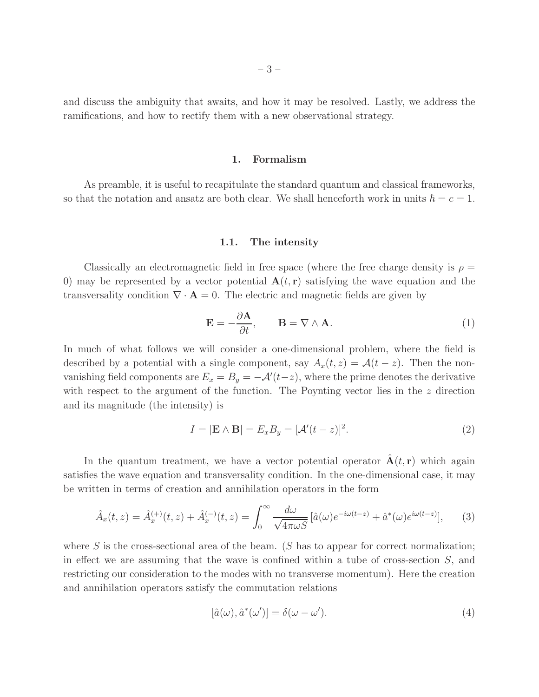and discuss the ambiguity that awaits, and how it may be resolved. Lastly, we address the ramifications, and how to rectify them with a new observational strategy.

### 1. Formalism

As preamble, it is useful to recapitulate the standard quantum and classical frameworks, so that the notation and ansatz are both clear. We shall henceforth work in units  $\hbar = c = 1$ .

### 1.1. The intensity

Classically an electromagnetic field in free space (where the free charge density is  $\rho =$ 0) may be represented by a vector potential  $\mathbf{A}(t, \mathbf{r})$  satisfying the wave equation and the transversality condition  $\nabla \cdot \mathbf{A} = 0$ . The electric and magnetic fields are given by

$$
\mathbf{E} = -\frac{\partial \mathbf{A}}{\partial t}, \qquad \mathbf{B} = \nabla \wedge \mathbf{A}.
$$
 (1)

In much of what follows we will consider a one-dimensional problem, where the field is described by a potential with a single component, say  $A_x(t, z) = \mathcal{A}(t - z)$ . Then the nonvanishing field components are  $E_x = B_y = -A'(t-z)$ , where the prime denotes the derivative with respect to the argument of the function. The Poynting vector lies in the z direction and its magnitude (the intensity) is

<span id="page-2-0"></span>
$$
I = |\mathbf{E} \wedge \mathbf{B}| = E_x B_y = [\mathcal{A}'(t-z)]^2.
$$
 (2)

In the quantum treatment, we have a vector potential operator  $A(t, r)$  which again satisfies the wave equation and transversality condition. In the one-dimensional case, it may be written in terms of creation and annihilation operators in the form

<span id="page-2-1"></span>
$$
\hat{A}_x(t,z) = \hat{A}_x^{(+)}(t,z) + \hat{A}_x^{(-)}(t,z) = \int_0^\infty \frac{d\omega}{\sqrt{4\pi\omega S}} \left[\hat{a}(\omega)e^{-i\omega(t-z)} + \hat{a}^*(\omega)e^{i\omega(t-z)}\right],\tag{3}
$$

where S is the cross-sectional area of the beam. (S has to appear for correct normalization; in effect we are assuming that the wave is confined within a tube of cross-section  $S$ , and restricting our consideration to the modes with no transverse momentum). Here the creation and annihilation operators satisfy the commutation relations

$$
[\hat{a}(\omega), \hat{a}^*(\omega')] = \delta(\omega - \omega'). \tag{4}
$$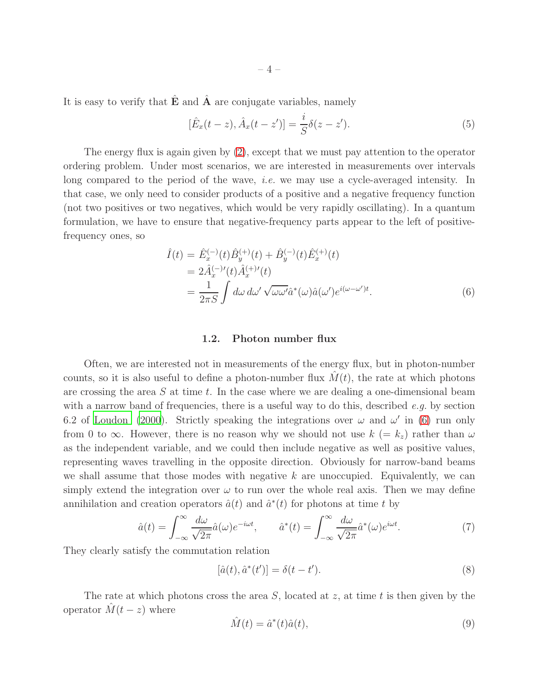It is easy to verify that  $E$  and  $A$  are conjugate variables, namely

$$
[\hat{E}_x(t-z), \hat{A}_x(t-z')] = \frac{i}{S} \delta(z-z'). \tag{5}
$$

The energy flux is again given by  $(2)$ , except that we must pay attention to the operator ordering problem. Under most scenarios, we are interested in measurements over intervals long compared to the period of the wave, *i.e.* we may use a cycle-averaged intensity. In that case, we only need to consider products of a positive and a negative frequency function (not two positives or two negatives, which would be very rapidly oscillating). In a quantum formulation, we have to ensure that negative-frequency parts appear to the left of positivefrequency ones, so

<span id="page-3-0"></span>
$$
\hat{I}(t) = \hat{E}_x^{(-)}(t)\hat{B}_y^{(+)}(t) + \hat{B}_y^{(-)}(t)\hat{E}_x^{(+)}(t) \n= 2\hat{A}_x^{(-)}'(t)\hat{A}_x^{(+)}(t) \n= \frac{1}{2\pi S} \int d\omega \, d\omega' \sqrt{\omega \omega'} \hat{a}^*(\omega) \hat{a}(\omega') e^{i(\omega - \omega')t}.
$$
\n(6)

### 1.2. Photon number flux

Often, we are interested not in measurements of the energy flux, but in photon-number counts, so it is also useful to define a photon-number flux  $\hat{M}(t)$ , the rate at which photons are crossing the area  $S$  at time  $t$ . In the case where we are dealing a one-dimensional beam with a narrow band of frequencies, there is a useful way to do this, described  $e.g.$  by section 6.2 of [Loudon \(2000\)](#page-20-5). Strictly speaking the integrations over  $\omega$  and  $\omega'$  in [\(6\)](#page-3-0) run only from 0 to  $\infty$ . However, there is no reason why we should not use  $k (= k_z)$  rather than  $\omega$ as the independent variable, and we could then include negative as well as positive values, representing waves travelling in the opposite direction. Obviously for narrow-band beams we shall assume that those modes with negative  $k$  are unoccupied. Equivalently, we can simply extend the integration over  $\omega$  to run over the whole real axis. Then we may define annihilation and creation operators  $\hat{a}(t)$  and  $\hat{a}^*(t)$  for photons at time t by

<span id="page-3-1"></span>
$$
\hat{a}(t) = \int_{-\infty}^{\infty} \frac{d\omega}{\sqrt{2\pi}} \hat{a}(\omega) e^{-i\omega t}, \qquad \hat{a}^*(t) = \int_{-\infty}^{\infty} \frac{d\omega}{\sqrt{2\pi}} \hat{a}^*(\omega) e^{i\omega t}.
$$
\n(7)

They clearly satisfy the commutation relation

<span id="page-3-3"></span>
$$
[\hat{a}(t), \hat{a}^*(t')] = \delta(t - t'). \tag{8}
$$

The rate at which photons cross the area  $S$ , located at  $z$ , at time  $t$  is then given by the operator  $\hat{M}(t-z)$  where

<span id="page-3-2"></span>
$$
\hat{M}(t) = \hat{a}^*(t)\hat{a}(t),\tag{9}
$$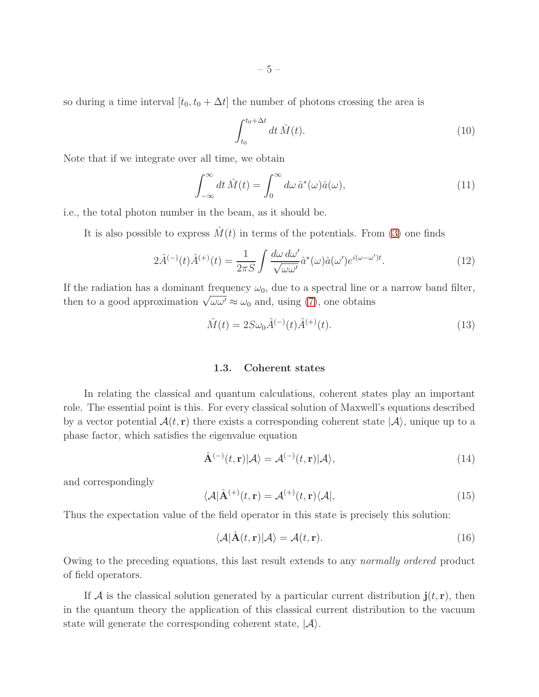so during a time interval  $[t_0, t_0 + \Delta t]$  the number of photons crossing the area is

$$
\int_{t_0}^{t_0 + \Delta t} dt \,\hat{M}(t). \tag{10}
$$

Note that if we integrate over all time, we obtain

$$
\int_{-\infty}^{\infty} dt \,\hat{M}(t) = \int_{0}^{\infty} d\omega \,\hat{a}^*(\omega)\hat{a}(\omega),\tag{11}
$$

i.e., the total photon number in the beam, as it should be.

It is also possible to express  $\hat{M}(t)$  in terms of the potentials. From [\(3\)](#page-2-1) one finds

$$
2\hat{A}^{(-)}(t)\hat{A}^{(+)}(t) = \frac{1}{2\pi S} \int \frac{d\omega \, d\omega'}{\sqrt{\omega \omega'}} \hat{a}^*(\omega) \hat{a}(\omega') e^{i(\omega - \omega')t}.
$$
 (12)

If the radiation has a dominant frequency  $\omega_0$ , due to a spectral line or a narrow band filter, then to a good approximation  $\sqrt{\omega \omega'} \approx \omega_0$  and, using [\(7\)](#page-3-1), one obtains

<span id="page-4-0"></span>
$$
\hat{M}(t) = 2S\omega_0 \hat{A}^{(-)}(t)\hat{A}^{(+)}(t).
$$
\n(13)

### 1.3. Coherent states

In relating the classical and quantum calculations, coherent states play an important role. The essential point is this. For every classical solution of Maxwell's equations described by a vector potential  $\mathcal{A}(t, r)$  there exists a corresponding coherent state  $|\mathcal{A}\rangle$ , unique up to a phase factor, which satisfies the eigenvalue equation

$$
\hat{\mathbf{A}}^{(-)}(t,\mathbf{r})|\mathcal{A}\rangle = \mathcal{A}^{(-)}(t,\mathbf{r})|\mathcal{A}\rangle,\tag{14}
$$

and correspondingly

$$
\langle \mathcal{A} | \hat{\mathbf{A}}^{(+)}(t, \mathbf{r}) = \mathcal{A}^{(+)}(t, \mathbf{r}) \langle \mathcal{A} |,
$$
\n(15)

Thus the expectation value of the field operator in this state is precisely this solution:

$$
\langle \mathcal{A} | \hat{\mathbf{A}}(t, \mathbf{r}) | \mathcal{A} \rangle = \mathcal{A}(t, \mathbf{r}). \tag{16}
$$

Owing to the preceding equations, this last result extends to any normally ordered product of field operators.

If A is the classical solution generated by a particular current distribution  $\mathbf{j}(t, \mathbf{r})$ , then in the quantum theory the application of this classical current distribution to the vacuum state will generate the corresponding coherent state,  $|\mathcal{A}\rangle$ .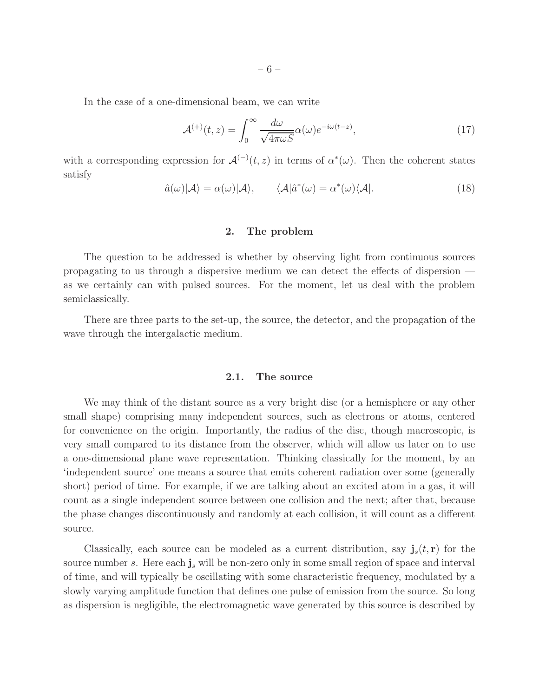In the case of a one-dimensional beam, we can write

$$
\mathcal{A}^{(+)}(t,z) = \int_0^\infty \frac{d\omega}{\sqrt{4\pi\omega S}} \alpha(\omega) e^{-i\omega(t-z)},\tag{17}
$$

with a corresponding expression for  $\mathcal{A}^{(-)}(t,z)$  in terms of  $\alpha^*(\omega)$ . Then the coherent states satisfy

$$
\hat{a}(\omega)|\mathcal{A}\rangle = \alpha(\omega)|\mathcal{A}\rangle, \qquad \langle \mathcal{A}|\hat{a}^*(\omega) = \alpha^*(\omega)\langle \mathcal{A}|. \tag{18}
$$

### 2. The problem

The question to be addressed is whether by observing light from continuous sources propagating to us through a dispersive medium we can detect the effects of dispersion as we certainly can with pulsed sources. For the moment, let us deal with the problem semiclassically.

There are three parts to the set-up, the source, the detector, and the propagation of the wave through the intergalactic medium.

## 2.1. The source

We may think of the distant source as a very bright disc (or a hemisphere or any other small shape) comprising many independent sources, such as electrons or atoms, centered for convenience on the origin. Importantly, the radius of the disc, though macroscopic, is very small compared to its distance from the observer, which will allow us later on to use a one-dimensional plane wave representation. Thinking classically for the moment, by an 'independent source' one means a source that emits coherent radiation over some (generally short) period of time. For example, if we are talking about an excited atom in a gas, it will count as a single independent source between one collision and the next; after that, because the phase changes discontinuously and randomly at each collision, it will count as a different source.

Classically, each source can be modeled as a current distribution, say  $\mathbf{j}_s(t, \mathbf{r})$  for the source number s. Here each  $j_s$  will be non-zero only in some small region of space and interval of time, and will typically be oscillating with some characteristic frequency, modulated by a slowly varying amplitude function that defines one pulse of emission from the source. So long as dispersion is negligible, the electromagnetic wave generated by this source is described by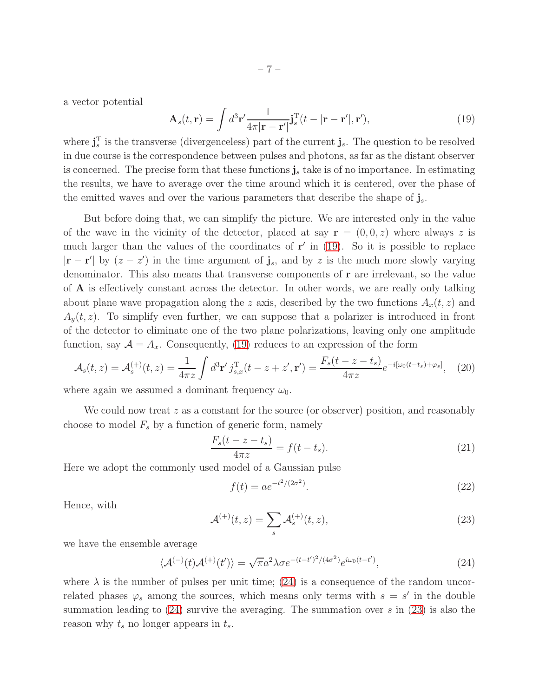a vector potential

<span id="page-6-0"></span>
$$
\mathbf{A}_s(t,\mathbf{r}) = \int d^3 \mathbf{r}' \frac{1}{4\pi |\mathbf{r} - \mathbf{r}'|} \mathbf{j}_s^{\mathrm{T}}(t - |\mathbf{r} - \mathbf{r}'|, \mathbf{r}'),\tag{19}
$$

where  $\mathbf{j}_s^{\mathrm{T}}$  is the transverse (divergenceless) part of the current  $\mathbf{j}_s$ . The question to be resolved in due course is the correspondence between pulses and photons, as far as the distant observer is concerned. The precise form that these functions  $\mathbf{j}_s$  take is of no importance. In estimating the results, we have to average over the time around which it is centered, over the phase of the emitted waves and over the various parameters that describe the shape of  $j_s$ .

But before doing that, we can simplify the picture. We are interested only in the value of the wave in the vicinity of the detector, placed at say  $\mathbf{r} = (0, 0, z)$  where always z is much larger than the values of the coordinates of  $r'$  in [\(19\)](#page-6-0). So it is possible to replace  $|r - r'|$  by  $(z - z')$  in the time argument of  $\mathbf{j}_s$ , and by z is the much more slowly varying denominator. This also means that transverse components of r are irrelevant, so the value of A is effectively constant across the detector. In other words, we are really only talking about plane wave propagation along the z axis, described by the two functions  $A_x(t, z)$  and  $A_y(t, z)$ . To simplify even further, we can suppose that a polarizer is introduced in front of the detector to eliminate one of the two plane polarizations, leaving only one amplitude function, say  $\mathcal{A} = A_x$ . Consequently, [\(19\)](#page-6-0) reduces to an expression of the form

<span id="page-6-3"></span>
$$
\mathcal{A}_s(t,z) = \mathcal{A}_s^{(+)}(t,z) = \frac{1}{4\pi z} \int d^3 \mathbf{r}' j_{s,x}^{\mathrm{T}}(t-z+z',\mathbf{r}') = \frac{F_s(t-z-t_s)}{4\pi z} e^{-i[\omega_0(t-t_s)+\varphi_s]},\tag{20}
$$

where again we assumed a dominant frequency  $\omega_0$ .

We could now treat  $z$  as a constant for the source (or observer) position, and reasonably choose to model  $F_s$  by a function of generic form, namely

<span id="page-6-4"></span>
$$
\frac{F_s(t - z - t_s)}{4\pi z} = f(t - t_s).
$$
\n(21)

Here we adopt the commonly used model of a Gaussian pulse

<span id="page-6-5"></span>
$$
f(t) = ae^{-t^2/(2\sigma^2)}.
$$
\n(22)

Hence, with

<span id="page-6-2"></span>
$$
\mathcal{A}^{(+)}(t,z) = \sum_{s} \mathcal{A}_s^{(+)}(t,z),\tag{23}
$$

we have the ensemble average

<span id="page-6-1"></span>
$$
\langle \mathcal{A}^{(-)}(t)\mathcal{A}^{(+)}(t')\rangle = \sqrt{\pi}a^2\lambda\sigma e^{-(t-t')^2/(4\sigma^2)}e^{i\omega_0(t-t')},\tag{24}
$$

where  $\lambda$  is the number of pulses per unit time; [\(24\)](#page-6-1) is a consequence of the random uncorrelated phases  $\varphi_s$  among the sources, which means only terms with  $s = s'$  in the double summation leading to  $(24)$  survive the averaging. The summation over s in  $(23)$  is also the reason why  $t_s$  no longer appears in  $t_s$ .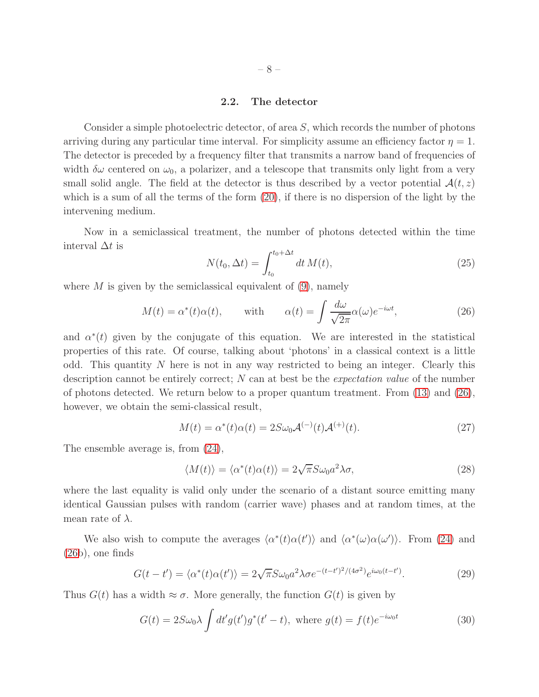### 2.2. The detector

Consider a simple photoelectric detector, of area S, which records the number of photons arriving during any particular time interval. For simplicity assume an efficiency factor  $\eta = 1$ . The detector is preceded by a frequency filter that transmits a narrow band of frequencies of width  $\delta\omega$  centered on  $\omega_0$ , a polarizer, and a telescope that transmits only light from a very small solid angle. The field at the detector is thus described by a vector potential  $\mathcal{A}(t, z)$ which is a sum of all the terms of the form [\(20\)](#page-6-3), if there is no dispersion of the light by the intervening medium.

Now in a semiclassical treatment, the number of photons detected within the time interval  $\Delta t$  is

<span id="page-7-5"></span>
$$
N(t_0, \Delta t) = \int_{t_0}^{t_0 + \Delta t} dt \, M(t), \tag{25}
$$

where  $M$  is given by the semiclassical equivalent of  $(9)$ , namely

<span id="page-7-0"></span>
$$
M(t) = \alpha^*(t)\alpha(t), \quad \text{with} \quad \alpha(t) = \int \frac{d\omega}{\sqrt{2\pi}} \alpha(\omega)e^{-i\omega t}, \quad (26)
$$

and  $\alpha^*(t)$  given by the conjugate of this equation. We are interested in the statistical properties of this rate. Of course, talking about 'photons' in a classical context is a little odd. This quantity  $N$  here is not in any way restricted to being an integer. Clearly this description cannot be entirely correct; N can at best be the *expectation value* of the number of photons detected. We return below to a proper quantum treatment. From  $(13)$  and  $(26)$ , however, we obtain the semi-classical result,

<span id="page-7-3"></span>
$$
M(t) = \alpha^*(t)\alpha(t) = 2S\omega_0 \mathcal{A}^{(-)}(t)\mathcal{A}^{(+)}(t). \tag{27}
$$

The ensemble average is, from [\(24\)](#page-6-1),

<span id="page-7-2"></span>
$$
\langle M(t) \rangle = \langle \alpha^*(t) \alpha(t) \rangle = 2\sqrt{\pi} S \omega_0 a^2 \lambda \sigma, \tag{28}
$$

where the last equality is valid only under the scenario of a distant source emitting many identical Gaussian pulses with random (carrier wave) phases and at random times, at the mean rate of  $\lambda$ .

We also wish to compute the averages  $\langle \alpha^*(t) \alpha(t') \rangle$  and  $\langle \alpha^*(\omega) \alpha(\omega') \rangle$ . From [\(24\)](#page-6-1) and [\(26b](#page-7-0)), one finds

<span id="page-7-1"></span>
$$
G(t-t') = \langle \alpha^*(t)\alpha(t') \rangle = 2\sqrt{\pi}S\omega_0 a^2 \lambda \sigma e^{-(t-t')^2/(4\sigma^2)} e^{i\omega_0(t-t')}.
$$
 (29)

Thus  $G(t)$  has a width  $\approx \sigma$ . More generally, the function  $G(t)$  is given by

<span id="page-7-4"></span>
$$
G(t) = 2S\omega_0\lambda \int dt' g(t')g^*(t'-t), \text{ where } g(t) = f(t)e^{-i\omega_0 t}
$$
 (30)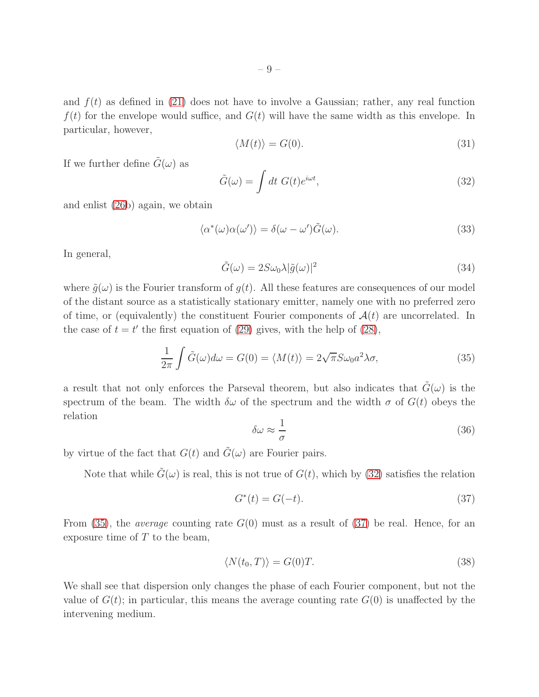and  $f(t)$  as defined in [\(21\)](#page-6-4) does not have to involve a Gaussian; rather, any real function  $f(t)$  for the envelope would suffice, and  $G(t)$  will have the same width as this envelope. In particular, however,

<span id="page-8-4"></span>
$$
\langle M(t) \rangle = G(0). \tag{31}
$$

If we further define  $\tilde{G}(\omega)$  as

<span id="page-8-0"></span>
$$
\tilde{G}(\omega) = \int dt \; G(t)e^{i\omega t}, \tag{32}
$$

and enlist [\(26b](#page-7-0)) again, we obtain

$$
\langle \alpha^*(\omega)\alpha(\omega') \rangle = \delta(\omega - \omega')\tilde{G}(\omega). \tag{33}
$$

In general,

<span id="page-8-5"></span>
$$
\tilde{G}(\omega) = 2S\omega_0\lambda|\tilde{g}(\omega)|^2
$$
\n(34)

where  $\tilde{g}(\omega)$  is the Fourier transform of  $g(t)$ . All these features are consequences of our model of the distant source as a statistically stationary emitter, namely one with no preferred zero of time, or (equivalently) the constituent Fourier components of  $A(t)$  are uncorrelated. In the case of  $t = t'$  the first equation of [\(29\)](#page-7-1) gives, with the help of [\(28\)](#page-7-2),

<span id="page-8-1"></span>
$$
\frac{1}{2\pi} \int \tilde{G}(\omega) d\omega = G(0) = \langle M(t) \rangle = 2\sqrt{\pi} S \omega_0 a^2 \lambda \sigma,
$$
\n(35)

a result that not only enforces the Parseval theorem, but also indicates that  $G(\omega)$  is the spectrum of the beam. The width  $\delta\omega$  of the spectrum and the width  $\sigma$  of  $G(t)$  obeys the relation

<span id="page-8-6"></span>
$$
\delta\omega \approx \frac{1}{\sigma} \tag{36}
$$

by virtue of the fact that  $G(t)$  and  $\tilde{G}(\omega)$  are Fourier pairs.

Note that while  $G(\omega)$  is real, this is not true of  $G(t)$ , which by [\(32\)](#page-8-0) satisfies the relation

<span id="page-8-2"></span>
$$
G^*(t) = G(-t). \t\t(37)
$$

From [\(35\)](#page-8-1), the *average* counting rate  $G(0)$  must as a result of [\(37\)](#page-8-2) be real. Hence, for an exposure time of  $T$  to the beam,

<span id="page-8-3"></span>
$$
\langle N(t_0, T) \rangle = G(0)T. \tag{38}
$$

We shall see that dispersion only changes the phase of each Fourier component, but not the value of  $G(t)$ ; in particular, this means the average counting rate  $G(0)$  is unaffected by the intervening medium.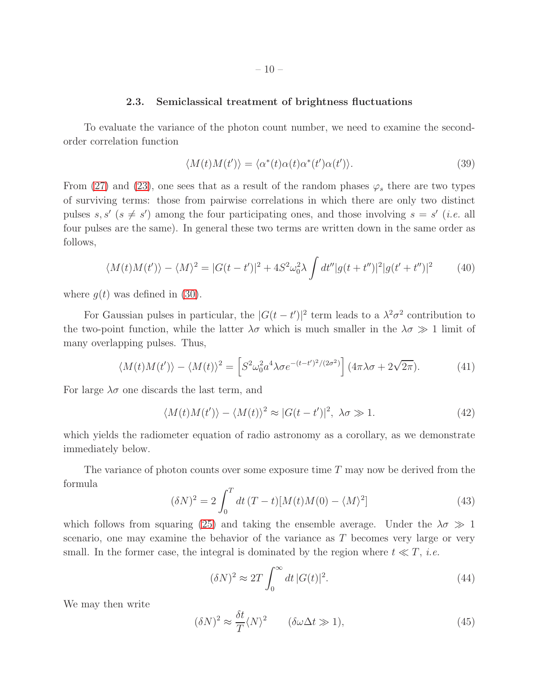### 2.3. Semiclassical treatment of brightness fluctuations

To evaluate the variance of the photon count number, we need to examine the secondorder correlation function

$$
\langle M(t)M(t')\rangle = \langle \alpha^*(t)\alpha(t)\alpha^*(t')\alpha(t')\rangle.
$$
\n(39)

From [\(27\)](#page-7-3) and [\(23\)](#page-6-2), one sees that as a result of the random phases  $\varphi_s$  there are two types of surviving terms: those from pairwise correlations in which there are only two distinct pulses  $s, s'$  ( $s \neq s'$ ) among the four participating ones, and those involving  $s = s'$  (*i.e.* all four pulses are the same). In general these two terms are written down in the same order as follows,

<span id="page-9-3"></span>
$$
\langle M(t)M(t')\rangle - \langle M\rangle^2 = |G(t-t')|^2 + 4S^2\omega_0^2\lambda \int dt''|g(t+t'')|^2|g(t'+t'')|^2 \tag{40}
$$

where  $g(t)$  was defined in [\(30\)](#page-7-4).

For Gaussian pulses in particular, the  $|G(t-t')|^2$  term leads to a  $\lambda^2 \sigma^2$  contribution to the two-point function, while the latter  $\lambda \sigma$  which is much smaller in the  $\lambda \sigma \gg 1$  limit of many overlapping pulses. Thus,

<span id="page-9-4"></span>
$$
\langle M(t)M(t')\rangle - \langle M(t)\rangle^2 = \left[S^2\omega_0^2 a^4 \lambda \sigma e^{-(t-t')^2/(2\sigma^2)}\right] (4\pi\lambda\sigma + 2\sqrt{2\pi}).\tag{41}
$$

For large  $\lambda \sigma$  one discards the last term, and

<span id="page-9-2"></span>
$$
\langle M(t)M(t')\rangle - \langle M(t)\rangle^2 \approx |G(t - t')|^2, \ \lambda\sigma \gg 1. \tag{42}
$$

which yields the radiometer equation of radio astronomy as a corollary, as we demonstrate immediately below.

The variance of photon counts over some exposure time  $T$  may now be derived from the formula

<span id="page-9-1"></span>
$$
(\delta N)^{2} = 2 \int_{0}^{T} dt \,(T - t)[M(t)M(0) - \langle M \rangle^{2}] \tag{43}
$$

which follows from squaring [\(25\)](#page-7-5) and taking the ensemble average. Under the  $\lambda \sigma \gg 1$ scenario, one may examine the behavior of the variance as T becomes very large or very small. In the former case, the integral is dominated by the region where  $t \ll T$ , *i.e.* 

$$
(\delta N)^2 \approx 2T \int_0^\infty dt \, |G(t)|^2. \tag{44}
$$

We may then write

<span id="page-9-0"></span>
$$
(\delta N)^2 \approx \frac{\delta t}{T} \langle N \rangle^2 \qquad (\delta \omega \Delta t \gg 1), \tag{45}
$$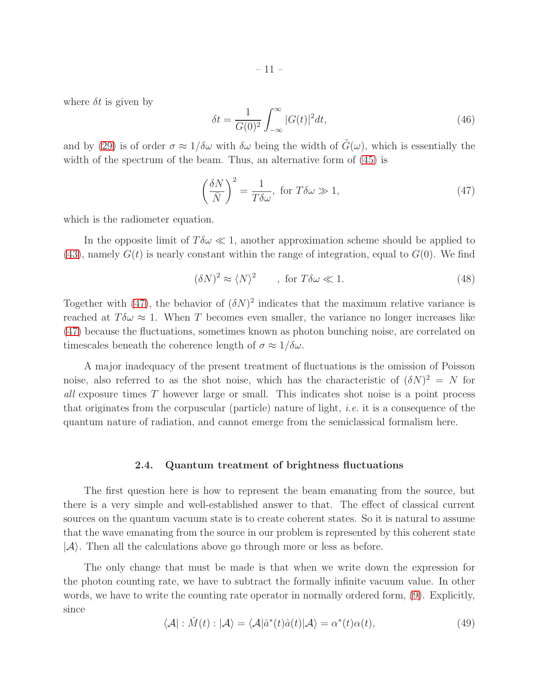where  $\delta t$  is given by

$$
\delta t = \frac{1}{G(0)^2} \int_{-\infty}^{\infty} |G(t)|^2 dt,\tag{46}
$$

and by [\(29\)](#page-7-1) is of order  $\sigma \approx 1/\delta\omega$  with  $\delta\omega$  being the width of  $\tilde{G}(\omega)$ , which is essentially the width of the spectrum of the beam. Thus, an alternative form of  $(45)$  is

<span id="page-10-0"></span>
$$
\left(\frac{\delta N}{\bar{N}}\right)^2 = \frac{1}{T\delta\omega}, \text{ for } T\delta\omega \gg 1,
$$
\n(47)

which is the radiometer equation.

In the opposite limit of  $T\delta\omega \ll 1$ , another approximation scheme should be applied to [\(43\)](#page-9-1), namely  $G(t)$  is nearly constant within the range of integration, equal to  $G(0)$ . We find

$$
(\delta N)^2 \approx \langle N \rangle^2 \qquad , \text{ for } T \delta \omega \ll 1. \tag{48}
$$

Together with [\(47\)](#page-10-0), the behavior of  $(\delta N)^2$  indicates that the maximum relative variance is reached at  $T\delta\omega \approx 1$ . When T becomes even smaller, the variance no longer increases like [\(47\)](#page-10-0) because the fluctuations, sometimes known as photon bunching noise, are correlated on timescales beneath the coherence length of  $\sigma \approx 1/\delta \omega$ .

A major inadequacy of the present treatment of fluctuations is the omission of Poisson noise, also referred to as the shot noise, which has the characteristic of  $(\delta N)^2 = N$  for all exposure times T however large or small. This indicates shot noise is a point process that originates from the corpuscular (particle) nature of light, *i.e.* it is a consequence of the quantum nature of radiation, and cannot emerge from the semiclassical formalism here.

### 2.4. Quantum treatment of brightness fluctuations

The first question here is how to represent the beam emanating from the source, but there is a very simple and well-established answer to that. The effect of classical current sources on the quantum vacuum state is to create coherent states. So it is natural to assume that the wave emanating from the source in our problem is represented by this coherent state  $|\mathcal{A}\rangle$ . Then all the calculations above go through more or less as before.

The only change that must be made is that when we write down the expression for the photon counting rate, we have to subtract the formally infinite vacuum value. In other words, we have to write the counting rate operator in normally ordered form, [\(9\)](#page-3-2). Explicitly, since

<span id="page-10-1"></span>
$$
\langle \mathcal{A} | : \hat{M}(t) : | \mathcal{A} \rangle = \langle \mathcal{A} | \hat{a}^*(t) \hat{a}(t) | \mathcal{A} \rangle = \alpha^*(t) \alpha(t), \tag{49}
$$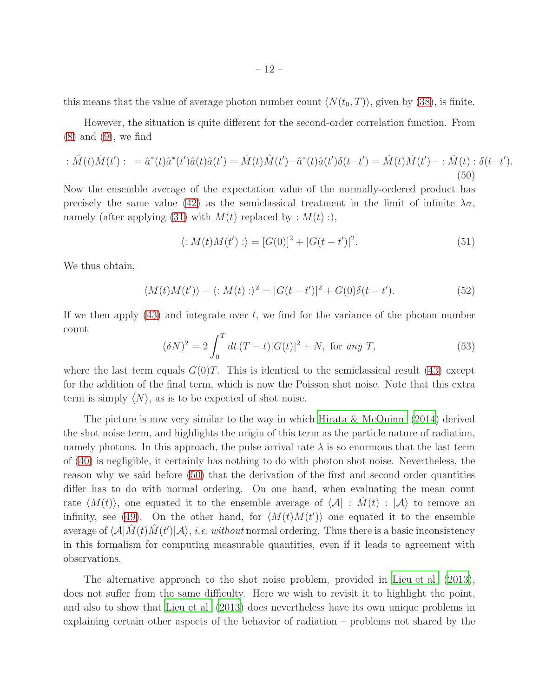this means that the value of average photon number count  $\langle N(t_0, T) \rangle$ , given by [\(38\)](#page-8-3), is finite.

However, the situation is quite different for the second-order correlation function. From [\(8\)](#page-3-3) and [\(9\)](#page-3-2), we find

<span id="page-11-0"></span>
$$
\hat{M}(t)\hat{M}(t')\colon = \hat{a}^*(t)\hat{a}^*(t')\hat{a}(t)\hat{a}(t') = \hat{M}(t)\hat{M}(t') - \hat{a}^*(t)\hat{a}(t')\delta(t-t') = \hat{M}(t)\hat{M}(t') - \hat{M}(t)\cdot\delta(t-t').
$$
\n(50)

Now the ensemble average of the expectation value of the normally-ordered product has precisely the same value [\(42\)](#page-9-2) as the semiclassical treatment in the limit of infinite  $\lambda \sigma$ , namely (after applying [\(31\)](#page-8-4) with  $M(t)$  replaced by :  $M(t)$  :),

$$
\langle :M(t)M(t'):\rangle = [G(0)]^2 + |G(t-t')|^2. \tag{51}
$$

We thus obtain,

<span id="page-11-2"></span>
$$
\langle M(t)M(t')\rangle - \langle M(t)\rangle^2 = |G(t-t')|^2 + G(0)\delta(t-t'). \tag{52}
$$

If we then apply  $(43)$  and integrate over t, we find for the variance of the photon number count

<span id="page-11-1"></span>
$$
(\delta N)^2 = 2 \int_0^T dt \, (T - t) |G(t)|^2 + N, \text{ for any } T,
$$
\n(53)

where the last term equals  $G(0)T$ . This is identical to the semiclassical result [\(43\)](#page-9-1) except for the addition of the final term, which is now the Poisson shot noise. Note that this extra term is simply  $\langle N \rangle$ , as is to be expected of shot noise.

The picture is now very similar to the way in which [Hirata & McQuinn \(2014\)](#page-20-1) derived the shot noise term, and highlights the origin of this term as the particle nature of radiation, namely photons. In this approach, the pulse arrival rate  $\lambda$  is so enormous that the last term of [\(40\)](#page-9-3) is negligible, it certainly has nothing to do with photon shot noise. Nevertheless, the reason why we said before [\(50\)](#page-11-0) that the derivation of the first and second order quantities differ has to do with normal ordering. On one hand, when evaluating the mean count rate  $\langle M(t) \rangle$ , one equated it to the ensemble average of  $\langle A| : M(t) : |A \rangle$  to remove an infinity, see [\(49\)](#page-10-1). On the other hand, for  $\langle M(t)M(t')\rangle$  one equated it to the ensemble average of  $\langle A|\hat{M}(t)\hat{M}(t')|A\rangle$ , *i.e. without* normal ordering. Thus there is a basic inconsistency in this formalism for computing measurable quantities, even if it leads to agreement with observations.

The alternative approach to the shot noise problem, provided in Lieu [et al \(2013](#page-20-0)), does not suffer from the same difficulty. Here we wish to revisit it to highlight the point, and also to show that [Lieu et al \(2013\)](#page-20-0) does nevertheless have its own unique problems in explaining certain other aspects of the behavior of radiation – problems not shared by the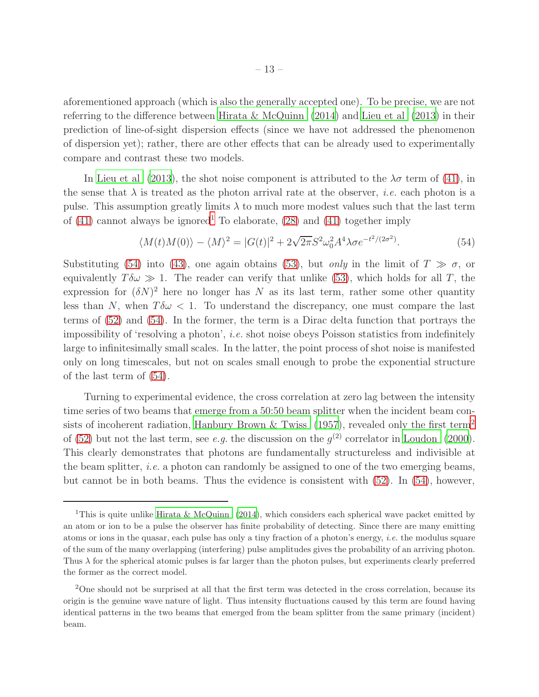aforementioned approach (which is also the generally accepted one). To be precise, we are not referring to the difference between [Hirata & McQuinn \(2014\)](#page-20-1) and [Lieu et al \(2013\)](#page-20-0) in their prediction of line-of-sight dispersion effects (since we have not addressed the phenomenon of dispersion yet); rather, there are other effects that can be already used to experimentally compare and contrast these two models.

In [Lieu et al \(2013\)](#page-20-0), the shot noise component is attributed to the  $\lambda \sigma$  term of [\(41\)](#page-9-4), in the sense that  $\lambda$  is treated as the photon arrival rate at the observer, *i.e.* each photon is a pulse. This assumption greatly limits  $\lambda$  to much more modest values such that the last term of  $(41)$  $(41)$  $(41)$  cannot always be ignored<sup>1</sup> To elaborate,  $(28)$  and  $(41)$  together imply

<span id="page-12-1"></span>
$$
\langle M(t)M(0)\rangle - \langle M\rangle^2 = |G(t)|^2 + 2\sqrt{2\pi}S^2\omega_0^2 A^4 \lambda \sigma e^{-t^2/(2\sigma^2)}.
$$
\n(54)

Substituting [\(54\)](#page-12-1) into [\(43\)](#page-9-1), one again obtains [\(53\)](#page-11-1), but *only* in the limit of  $T \gg \sigma$ , or equivalently  $T \delta \omega \gg 1$ . The reader can verify that unlike [\(53\)](#page-11-1), which holds for all T, the expression for  $(\delta N)^2$  here no longer has N as its last term, rather some other quantity less than N, when  $T\delta\omega < 1$ . To understand the discrepancy, one must compare the last terms of [\(52\)](#page-11-2) and [\(54\)](#page-12-1). In the former, the term is a Dirac delta function that portrays the impossibility of 'resolving a photon', i.e. shot noise obeys Poisson statistics from indefinitely large to infinitesimally small scales. In the latter, the point process of shot noise is manifested only on long timescales, but not on scales small enough to probe the exponential structure of the last term of [\(54\)](#page-12-1).

Turning to experimental evidence, the cross correlation at zero lag between the intensity time series of two beams that emerge from a 50:50 beam splitter when the incident beam con-sists of incoherent radiation, [Hanbury Brown & Twiss \(1957\)](#page-20-6), revealed only the first term<sup>[2](#page-12-2)</sup> of [\(52\)](#page-11-2) but not the last term, see *e.g.* the discussion on the  $g^{(2)}$  correlator in [Loudon \(2000](#page-20-5)). This clearly demonstrates that photons are fundamentally structureless and indivisible at the beam splitter, *i.e.* a photon can randomly be assigned to one of the two emerging beams, but cannot be in both beams. Thus the evidence is consistent with [\(52\)](#page-11-2). In [\(54\)](#page-12-1), however,

<span id="page-12-0"></span><sup>&</sup>lt;sup>1</sup>This is quite unlike [Hirata & McQuinn \(2014](#page-20-1)), which considers each spherical wave packet emitted by an atom or ion to be a pulse the observer has finite probability of detecting. Since there are many emitting atoms or ions in the quasar, each pulse has only a tiny fraction of a photon's energy, i.e. the modulus square of the sum of the many overlapping (interfering) pulse amplitudes gives the probability of an arriving photon. Thus  $\lambda$  for the spherical atomic pulses is far larger than the photon pulses, but experiments clearly preferred the former as the correct model.

<span id="page-12-2"></span><sup>&</sup>lt;sup>2</sup>One should not be surprised at all that the first term was detected in the cross correlation, because its origin is the genuine wave nature of light. Thus intensity fluctuations caused by this term are found having identical patterns in the two beams that emerged from the beam splitter from the same primary (incident) beam.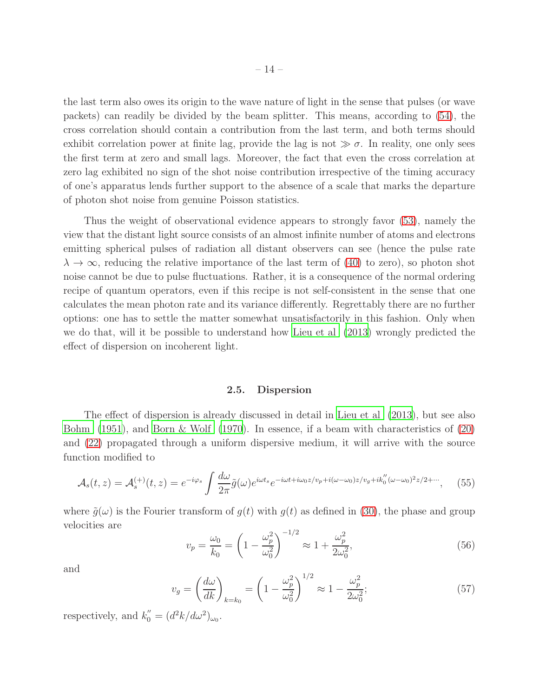the last term also owes its origin to the wave nature of light in the sense that pulses (or wave packets) can readily be divided by the beam splitter. This means, according to [\(54\)](#page-12-1), the cross correlation should contain a contribution from the last term, and both terms should exhibit correlation power at finite lag, provide the lag is not  $\gg \sigma$ . In reality, one only sees the first term at zero and small lags. Moreover, the fact that even the cross correlation at zero lag exhibited no sign of the shot noise contribution irrespective of the timing accuracy of one's apparatus lends further support to the absence of a scale that marks the departure of photon shot noise from genuine Poisson statistics.

Thus the weight of observational evidence appears to strongly favor [\(53\)](#page-11-1), namely the view that the distant light source consists of an almost infinite number of atoms and electrons emitting spherical pulses of radiation all distant observers can see (hence the pulse rate  $\lambda \to \infty$ , reducing the relative importance of the last term of [\(40\)](#page-9-3) to zero), so photon shot noise cannot be due to pulse fluctuations. Rather, it is a consequence of the normal ordering recipe of quantum operators, even if this recipe is not self-consistent in the sense that one calculates the mean photon rate and its variance differently. Regrettably there are no further options: one has to settle the matter somewhat unsatisfactorily in this fashion. Only when we do that, will it be possible to understand how [Lieu et al \(2013\)](#page-20-0) wrongly predicted the effect of dispersion on incoherent light.

### 2.5. Dispersion

The effect of dispersion is already discussed in detail in [Lieu et al \(2013](#page-20-0)), but see also [Bohm \(1951\)](#page-19-2), and [Born & Wolf \(1970\)](#page-19-3). In essence, if a beam with characteristics of [\(20\)](#page-6-3) and [\(22\)](#page-6-5) propagated through a uniform dispersive medium, it will arrive with the source function modified to

<span id="page-13-0"></span>
$$
\mathcal{A}_s(t,z) = \mathcal{A}_s^{(+)}(t,z) = e^{-i\varphi_s} \int \frac{d\omega}{2\pi} \tilde{g}(\omega) e^{i\omega t_s} e^{-i\omega t + i\omega_0 z/v_p + i(\omega - \omega_0)z/v_g + ik_0''(\omega - \omega_0)^2 z/2 + \cdots}, \tag{55}
$$

where  $\tilde{g}(\omega)$  is the Fourier transform of  $g(t)$  with  $g(t)$  as defined in [\(30\)](#page-7-4), the phase and group velocities are

<span id="page-13-1"></span>
$$
v_p = \frac{\omega_0}{k_0} = \left(1 - \frac{\omega_p^2}{\omega_0^2}\right)^{-1/2} \approx 1 + \frac{\omega_p^2}{2\omega_0^2},\tag{56}
$$

and

<span id="page-13-2"></span>
$$
v_g = \left(\frac{d\omega}{dk}\right)_{k=k_0} = \left(1 - \frac{\omega_p^2}{\omega_0^2}\right)^{1/2} \approx 1 - \frac{\omega_p^2}{2\omega_0^2};\tag{57}
$$

respectively, and  $k_0'' = (d^2k/d\omega^2)_{\omega_0}$ .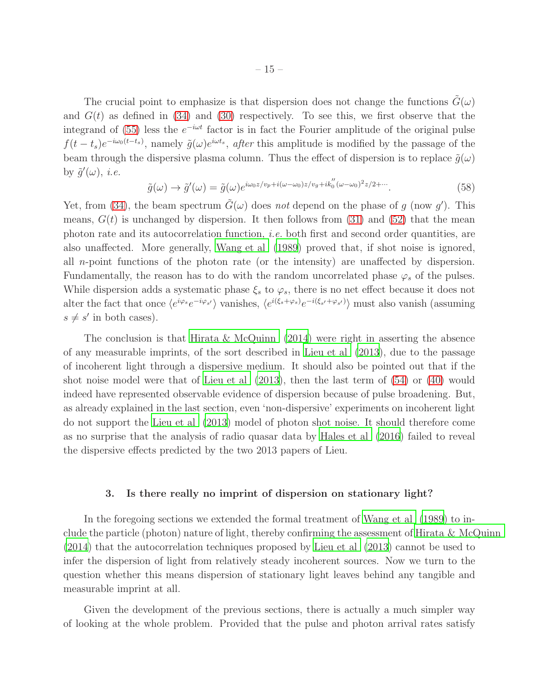The crucial point to emphasize is that dispersion does not change the functions  $\tilde{G}(\omega)$ and  $G(t)$  as defined in [\(34\)](#page-8-5) and [\(30\)](#page-7-4) respectively. To see this, we first observe that the integrand of [\(55\)](#page-13-0) less the  $e^{-i\omega t}$  factor is in fact the Fourier amplitude of the original pulse  $f(t-t_s)e^{-i\omega_0(t-t_s)}$ , namely  $\tilde{g}(\omega)e^{i\omega t_s}$ , after this amplitude is modified by the passage of the beam through the dispersive plasma column. Thus the effect of dispersion is to replace  $\tilde{q}(\omega)$ by  $\tilde{g}'(\omega)$ , *i.e.* 

$$
\tilde{g}(\omega) \to \tilde{g}'(\omega) = \tilde{g}(\omega)e^{i\omega_0 z/v_p + i(\omega - \omega_0)z/v_g + ik_0''(\omega - \omega_0)^2 z/2 + \cdots}.
$$
\n(58)

Yet, from [\(34\)](#page-8-5), the beam spectrum  $\tilde{G}(\omega)$  does not depend on the phase of g (now g'). This means,  $G(t)$  is unchanged by dispersion. It then follows from [\(31\)](#page-8-4) and [\(52\)](#page-11-2) that the mean photon rate and its autocorrelation function, i.e. both first and second order quantities, are also unaffected. More generally, [Wang et al \(1989\)](#page-20-7) proved that, if shot noise is ignored, all n-point functions of the photon rate (or the intensity) are unaffected by dispersion. Fundamentally, the reason has to do with the random uncorrelated phase  $\varphi_s$  of the pulses. While dispersion adds a systematic phase  $\xi_s$  to  $\varphi_s$ , there is no net effect because it does not alter the fact that once  $\langle e^{i\varphi_s}e^{-i\varphi_{s'}}\rangle$  vanishes,  $\langle e^{i(\xi_s+\varphi_s)}e^{-i(\xi_{s'}+\varphi_{s'})}\rangle$  must also vanish (assuming  $s \neq s'$  in both cases).

The conclusion is that Hirata & McQuinn  $(2014)$  were right in asserting the absence of any measurable imprints, of the sort described in [Lieu et al \(2013\)](#page-20-0), due to the passage of incoherent light through a dispersive medium. It should also be pointed out that if the shot noise model were that of [Lieu et al \(2013](#page-20-0)), then the last term of [\(54\)](#page-12-1) or [\(40\)](#page-9-3) would indeed have represented observable evidence of dispersion because of pulse broadening. But, as already explained in the last section, even 'non-dispersive' experiments on incoherent light do not support the [Lieu et al \(2013\)](#page-20-0) model of photon shot noise. It should therefore come as no surprise that the analysis of radio quasar data by [Hales et al \(2016\)](#page-20-2) failed to reveal the dispersive effects predicted by the two 2013 papers of Lieu.

### 3. Is there really no imprint of dispersion on stationary light?

In the foregoing sections we extended the formal treatment of [Wang et al \(1989](#page-20-7)) to include the particle (photon) nature of light, thereby confirming the assessment of Hirata  $\&$  McQuinn [\(2014\)](#page-20-1) that the autocorrelation techniques proposed by [Lieu et al \(2013](#page-20-0)) cannot be used to infer the dispersion of light from relatively steady incoherent sources. Now we turn to the question whether this means dispersion of stationary light leaves behind any tangible and measurable imprint at all.

Given the development of the previous sections, there is actually a much simpler way of looking at the whole problem. Provided that the pulse and photon arrival rates satisfy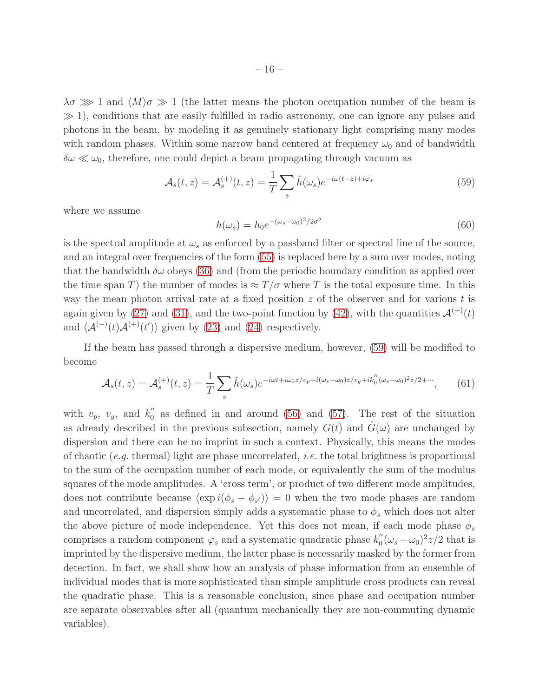$\lambda \sigma \gg 1$  and  $\langle M \rangle \sigma \gg 1$  (the latter means the photon occupation number of the beam is  $\gg$  1), conditions that are easily fulfilled in radio astronomy, one can ignore any pulses and photons in the beam, by modeling it as genuinely stationary light comprising many modes with random phases. Within some narrow band centered at frequency  $\omega_0$  and of bandwidth  $\delta\omega \ll \omega_0$ , therefore, one could depict a beam propagating through vacuum as

<span id="page-15-0"></span>
$$
\mathcal{A}_s(t,z) = \mathcal{A}_s^{(+)}(t,z) = \frac{1}{T} \sum_s \tilde{h}(\omega_s) e^{-i\omega(t-z) + i\varphi_s}
$$
(59)

where we assume

<span id="page-15-1"></span>
$$
h(\omega_s) = h_0 e^{-(\omega_s - \omega_0)^2 / 2\sigma^2}
$$
\n(60)

is the spectral amplitude at  $\omega_s$  as enforced by a passband filter or spectral line of the source, and an integral over frequencies of the form [\(55\)](#page-13-0) is replaced here by a sum over modes, noting that the bandwidth  $\delta\omega$  obeys [\(36\)](#page-8-6) and (from the periodic boundary condition as applied over the time span T) the number of modes is  $\approx T/\sigma$  where T is the total exposure time. In this way the mean photon arrival rate at a fixed position  $z$  of the observer and for various t is again given by [\(27\)](#page-7-3) and [\(31\)](#page-8-4), and the two-point function by [\(42\)](#page-9-2), with the quantities  $\mathcal{A}^{(+)}(t)$ and  $\langle \mathcal{A}^{(-)}(t)\mathcal{A}^{(+)}(t')\rangle$  given by [\(23\)](#page-6-2) and [\(24\)](#page-6-1) respectively.

If the beam has passed through a dispersive medium, however, [\(59\)](#page-15-0) will be modified to become

$$
\mathcal{A}_s(t,z) = \mathcal{A}_s^{(+)}(t,z) = \frac{1}{T} \sum_s \tilde{h}(\omega_s) e^{-i\omega t + i\omega_0 z/v_p + i(\omega_s - \omega_0)z/v_g + ik_0''(\omega_s - \omega_0)^2 z/2 + \cdots},\tag{61}
$$

with  $v_p$ ,  $v_g$ , and  $k_0''$  $\frac{1}{0}$  as defined in and around [\(56\)](#page-13-1) and [\(57\)](#page-13-2). The rest of the situation as already described in the previous subsection, namely  $G(t)$  and  $\tilde{G}(\omega)$  are unchanged by dispersion and there can be no imprint in such a context. Physically, this means the modes of chaotic (e.g. thermal) light are phase uncorrelated, *i.e.* the total brightness is proportional to the sum of the occupation number of each mode, or equivalently the sum of the modulus squares of the mode amplitudes. A 'cross term', or product of two different mode amplitudes, does not contribute because  $\langle \exp i(\phi_s - \phi_{s'}) \rangle = 0$  when the two mode phases are random and uncorrelated, and dispersion simply adds a systematic phase to  $\phi_s$  which does not alter the above picture of mode independence. Yet this does not mean, if each mode phase  $\phi_s$ comprises a random component  $\varphi_s$  and a systematic quadratic phase  $k_0''$  $\int_0^{\prime\prime} (\omega_s - \omega_0)^2 z/2$  that is imprinted by the dispersive medium, the latter phase is necessarily masked by the former from detection. In fact, we shall show how an analysis of phase information from an ensemble of individual modes that is more sophisticated than simple amplitude cross products can reveal the quadratic phase. This is a reasonable conclusion, since phase and occupation number are separate observables after all (quantum mechanically they are non-commuting dynamic variables).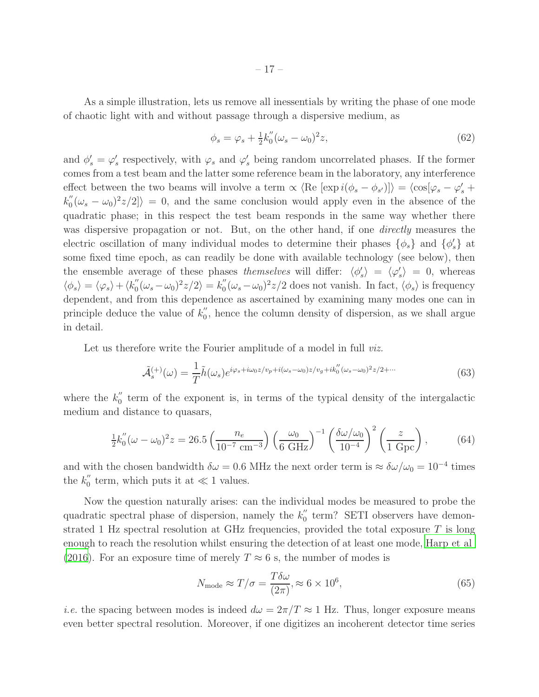As a simple illustration, lets us remove all inessentials by writing the phase of one mode of chaotic light with and without passage through a dispersive medium, as

$$
\phi_s = \varphi_s + \frac{1}{2}k_0''(\omega_s - \omega_0)^2 z,\tag{62}
$$

and  $\phi'_s = \varphi'_s$  $\mathcal{L}'_s$  respectively, with  $\varphi_s$  and  $\varphi'_s$  being random uncorrelated phases. If the former comes from a test beam and the latter some reference beam in the laboratory, any interference effect between the two beams will involve a term  $\propto \langle \text{Re} [\exp i(\phi_s - \phi_{s'})] \rangle = \langle \cos[\varphi_s - \varphi'_s + \varphi'_s \rangle]$  $k_0^{''}$  $\binom{1}{0}(\omega_s - \omega_0)^2 z/2$  = 0, and the same conclusion would apply even in the absence of the quadratic phase; in this respect the test beam responds in the same way whether there was dispersive propagation or not. But, on the other hand, if one *directly* measures the electric oscillation of many individual modes to determine their phases  $\{\phi_s\}$  and  $\{\phi'_s\}$  $s$ } at some fixed time epoch, as can readily be done with available technology (see below), then the ensemble average of these phases themselves will differ:  $\langle \phi \rangle$  $\langle s \rangle = \langle \varphi'_s$  $\langle s \rangle = 0$ , whereas  $\langle \phi_s \rangle = \langle \varphi_s \rangle + \langle k_0''$  $\int_0^{\prime\prime} (\omega_s - \omega_0)^2 z/2 \rangle = k_0^{\prime\prime}$  $\int_0^{\prime\prime} (\omega_s - \omega_0)^2 z/2$  does not vanish. In fact,  $\langle \phi_s \rangle$  is frequency dependent, and from this dependence as ascertained by examining many modes one can in principle deduce the value of  $k_0''$  $\int_{0}^{\pi}$ , hence the column density of dispersion, as we shall argue in detail.

Let us therefore write the Fourier amplitude of a model in full *viz*.

$$
\tilde{\mathcal{A}}_s^{(+)}(\omega) = \frac{1}{T} \tilde{h}(\omega_s) e^{i\varphi_s + i\omega_0 z/v_p + i(\omega_s - \omega_0)z/v_g + ik_0''(\omega_s - \omega_0)^2 z/2 + \cdots} \tag{63}
$$

where the  $k_0''$  $\frac{1}{0}$  term of the exponent is, in terms of the typical density of the intergalactic medium and distance to quasars,

<span id="page-16-0"></span>
$$
\frac{1}{2}k_0''(\omega - \omega_0)^2 z = 26.5 \left(\frac{n_e}{10^{-7} \text{ cm}^{-3}}\right) \left(\frac{\omega_0}{6 \text{ GHz}}\right)^{-1} \left(\frac{\delta \omega / \omega_0}{10^{-4}}\right)^2 \left(\frac{z}{1 \text{ Gpc}}\right),\tag{64}
$$

and with the chosen bandwidth  $\delta\omega = 0.6$  MHz the next order term is  $\approx \delta\omega/\omega_0 = 10^{-4}$  times the  $k_0$ <sup>"</sup>  $\frac{1}{0}$  term, which puts it at  $\ll 1$  values.

Now the question naturally arises: can the individual modes be measured to probe the quadratic spectral phase of dispersion, namely the  $k_0''$  $\frac{1}{0}$  term? SETI observers have demonstrated 1 Hz spectral resolution at GHz frequencies, provided the total exposure  $T$  is long enough to reach the resolution whilst ensuring the detection of at least one mode, [Harp et al](#page-20-8) [\(2016\)](#page-20-8). For an exposure time of merely  $T \approx 6$  s, the number of modes is

<span id="page-16-1"></span>
$$
N_{\text{mode}} \approx T/\sigma = \frac{T\delta\omega}{(2\pi)} \approx 6 \times 10^6,\tag{65}
$$

*i.e.* the spacing between modes is indeed  $d\omega = 2\pi/T \approx 1$  Hz. Thus, longer exposure means even better spectral resolution. Moreover, if one digitizes an incoherent detector time series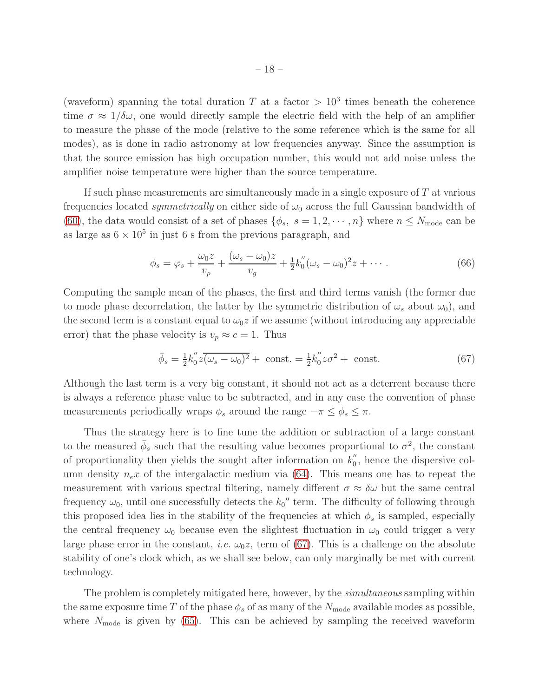(waveform) spanning the total duration T at a factor  $> 10<sup>3</sup>$  times beneath the coherence time  $\sigma \approx 1/\delta\omega$ , one would directly sample the electric field with the help of an amplifier to measure the phase of the mode (relative to the some reference which is the same for all modes), as is done in radio astronomy at low frequencies anyway. Since the assumption is that the source emission has high occupation number, this would not add noise unless the amplifier noise temperature were higher than the source temperature.

If such phase measurements are simultaneously made in a single exposure of  $T$  at various frequencies located *symmetrically* on either side of  $\omega_0$  across the full Gaussian bandwidth of [\(60\)](#page-15-1), the data would consist of a set of phases  $\{\phi_s, s = 1, 2, \cdots, n\}$  where  $n \leq N_{\text{mode}}$  can be as large as  $6 \times 10^5$  in just 6 s from the previous paragraph, and

<span id="page-17-1"></span>
$$
\phi_s = \varphi_s + \frac{\omega_0 z}{v_p} + \frac{(\omega_s - \omega_0)z}{v_g} + \frac{1}{2}k_0''(\omega_s - \omega_0)^2 z + \cdots
$$
 (66)

Computing the sample mean of the phases, the first and third terms vanish (the former due to mode phase decorrelation, the latter by the symmetric distribution of  $\omega_s$  about  $\omega_0$ ), and the second term is a constant equal to  $\omega_0 z$  if we assume (without introducing any appreciable error) that the phase velocity is  $v_p \approx c = 1$ . Thus

<span id="page-17-0"></span>
$$
\bar{\phi}_s = \frac{1}{2} k_0'' z (\overline{\omega_s - \omega_0})^2 + \text{const.} = \frac{1}{2} k_0'' z \sigma^2 + \text{const.}
$$
 (67)

Although the last term is a very big constant, it should not act as a deterrent because there is always a reference phase value to be subtracted, and in any case the convention of phase measurements periodically wraps  $\phi_s$  around the range  $-\pi \leq \phi_s \leq \pi$ .

Thus the strategy here is to fine tune the addition or subtraction of a large constant to the measured  $\bar{\phi}_s$  such that the resulting value becomes proportional to  $\sigma^2$ , the constant of proportionality then yields the sought after information on  $k_0''$  $\frac{1}{0}$ , hence the dispersive column density  $n_e x$  of the intergalactic medium via [\(64\)](#page-16-0). This means one has to repeat the measurement with various spectral filtering, namely different  $\sigma \approx \delta \omega$  but the same central frequency  $\omega_0$ , until one successfully detects the  $k_0''$  term. The difficulty of following through this proposed idea lies in the stability of the frequencies at which  $\phi_s$  is sampled, especially the central frequency  $\omega_0$  because even the slightest fluctuation in  $\omega_0$  could trigger a very large phase error in the constant, *i.e.*  $\omega_0 z$ , term of [\(67\)](#page-17-0). This is a challenge on the absolute stability of one's clock which, as we shall see below, can only marginally be met with current technology.

The problem is completely mitigated here, however, by the *simultaneous* sampling within the same exposure time T of the phase  $\phi_s$  of as many of the  $N_{\text{mode}}$  available modes as possible, where  $N_{\text{mode}}$  is given by [\(65\)](#page-16-1). This can be achieved by sampling the received waveform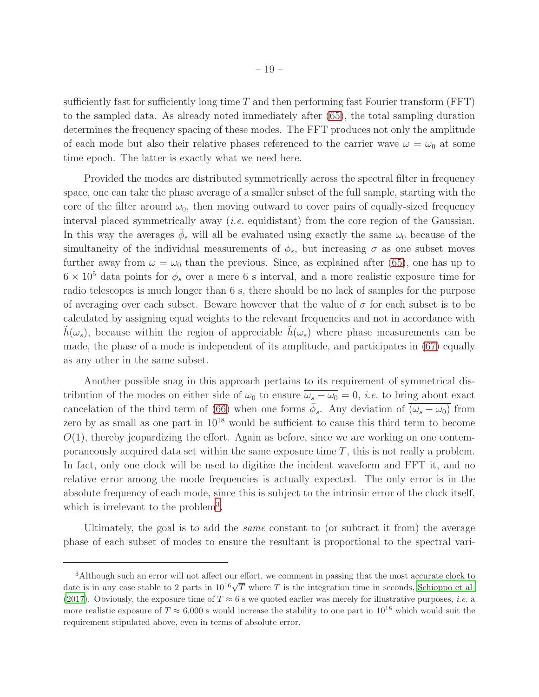sufficiently fast for sufficiently long time  $T$  and then performing fast Fourier transform (FFT) to the sampled data. As already noted immediately after [\(65\)](#page-16-1), the total sampling duration determines the frequency spacing of these modes. The FFT produces not only the amplitude of each mode but also their relative phases referenced to the carrier wave  $\omega = \omega_0$  at some time epoch. The latter is exactly what we need here.

Provided the modes are distributed symmetrically across the spectral filter in frequency space, one can take the phase average of a smaller subset of the full sample, starting with the core of the filter around  $\omega_0$ , then moving outward to cover pairs of equally-sized frequency interval placed symmetrically away (i.e. equidistant) from the core region of the Gaussian. In this way the averages  $\bar{\phi}_s$  will all be evaluated using exactly the same  $\omega_0$  because of the simultaneity of the individual measurements of  $\phi_s$ , but increasing  $\sigma$  as one subset moves further away from  $\omega = \omega_0$  than the previous. Since, as explained after [\(65\)](#page-16-1), one has up to  $6 \times 10^5$  data points for  $\phi_s$  over a mere 6 s interval, and a more realistic exposure time for radio telescopes is much longer than 6 s, there should be no lack of samples for the purpose of averaging over each subset. Beware however that the value of  $\sigma$  for each subset is to be calculated by assigning equal weights to the relevant frequencies and not in accordance with  $h(\omega_s)$ , because within the region of appreciable  $h(\omega_s)$  where phase measurements can be made, the phase of a mode is independent of its amplitude, and participates in [\(67\)](#page-17-0) equally as any other in the same subset.

Another possible snag in this approach pertains to its requirement of symmetrical distribution of the modes on either side of  $\omega_0$  to ensure  $\overline{\omega_s - \omega_0} = 0$ , *i.e.* to bring about exact cancelation of the third term of [\(66\)](#page-17-1) when one forms  $\bar{\phi}_s$ . Any deviation of  $\overline{(\omega_s - \omega_0)}$  from zero by as small as one part in  $10^{18}$  would be sufficient to cause this third term to become  $O(1)$ , thereby jeopardizing the effort. Again as before, since we are working on one contemporaneously acquired data set within the same exposure time T, this is not really a problem. In fact, only one clock will be used to digitize the incident waveform and FFT it, and no relative error among the mode frequencies is actually expected. The only error is in the absolute frequency of each mode, since this is subject to the intrinsic error of the clock itself, which is irrelevant to the problem<sup>[3](#page-20-9)</sup>.

Ultimately, the goal is to add the same constant to (or subtract it from) the average phase of each subset of modes to ensure the resultant is proportional to the spectral vari-

<sup>3</sup>Although such an error will not affect our effort, we comment in passing that the most accurate clock to date is in any case stable to 2 parts in  $10^{16}\sqrt{T}$  where T is the integration time in seconds, [Schioppo et al](#page-20-10) [\(2017\)](#page-20-10). Obviously, the exposure time of  $T \approx 6$  s we quoted earlier was merely for illustrative purposes, *i.e.* a more realistic exposure of  $T \approx 6,000$  s would increase the stability to one part in  $10^{18}$  which would suit the requirement stipulated above, even in terms of absolute error.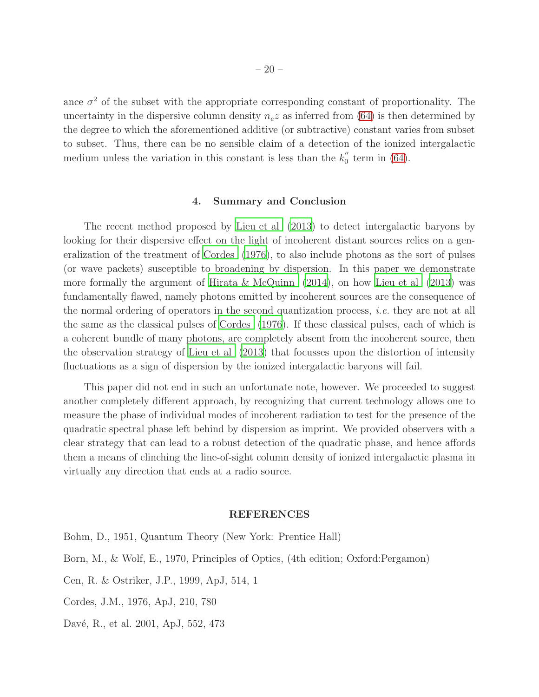ance  $\sigma^2$  of the subset with the appropriate corresponding constant of proportionality. The uncertainty in the dispersive column density  $n_e z$  as inferred from [\(64\)](#page-16-0) is then determined by the degree to which the aforementioned additive (or subtractive) constant varies from subset to subset. Thus, there can be no sensible claim of a detection of the ionized intergalactic medium unless the variation in this constant is less than the  $k_0''$  $\int_{0}^{\pi}$  term in [\(64\)](#page-16-0).

#### 4. Summary and Conclusion

The recent method proposed by [Lieu et al \(2013](#page-20-0)) to detect intergalactic baryons by looking for their dispersive effect on the light of incoherent distant sources relies on a generalization of the treatment of [Cordes \(1976](#page-19-4)), to also include photons as the sort of pulses (or wave packets) susceptible to broadening by dispersion. In this paper we demonstrate more formally the argument of [Hirata & McQuinn \(2014\)](#page-20-1), on how [Lieu et al \(2013](#page-20-0)) was fundamentally flawed, namely photons emitted by incoherent sources are the consequence of the normal ordering of operators in the second quantization process, *i.e.* they are not at all the same as the classical pulses of [Cordes \(1976\)](#page-19-4). If these classical pulses, each of which is a coherent bundle of many photons, are completely absent from the incoherent source, then the observation strategy of [Lieu et al \(2013](#page-20-0)) that focusses upon the distortion of intensity fluctuations as a sign of dispersion by the ionized intergalactic baryons will fail.

This paper did not end in such an unfortunate note, however. We proceeded to suggest another completely different approach, by recognizing that current technology allows one to measure the phase of individual modes of incoherent radiation to test for the presence of the quadratic spectral phase left behind by dispersion as imprint. We provided observers with a clear strategy that can lead to a robust detection of the quadratic phase, and hence affords them a means of clinching the line-of-sight column density of ionized intergalactic plasma in virtually any direction that ends at a radio source.

#### REFERENCES

<span id="page-19-4"></span><span id="page-19-3"></span><span id="page-19-2"></span><span id="page-19-1"></span><span id="page-19-0"></span>Bohm, D., 1951, Quantum Theory (New York: Prentice Hall) Born, M., & Wolf, E., 1970, Principles of Optics, (4th edition; Oxford:Pergamon) Cen, R. & Ostriker, J.P., 1999, ApJ, 514, 1 Cordes, J.M., 1976, ApJ, 210, 780 Davé, R., et al. 2001, ApJ, 552, 473